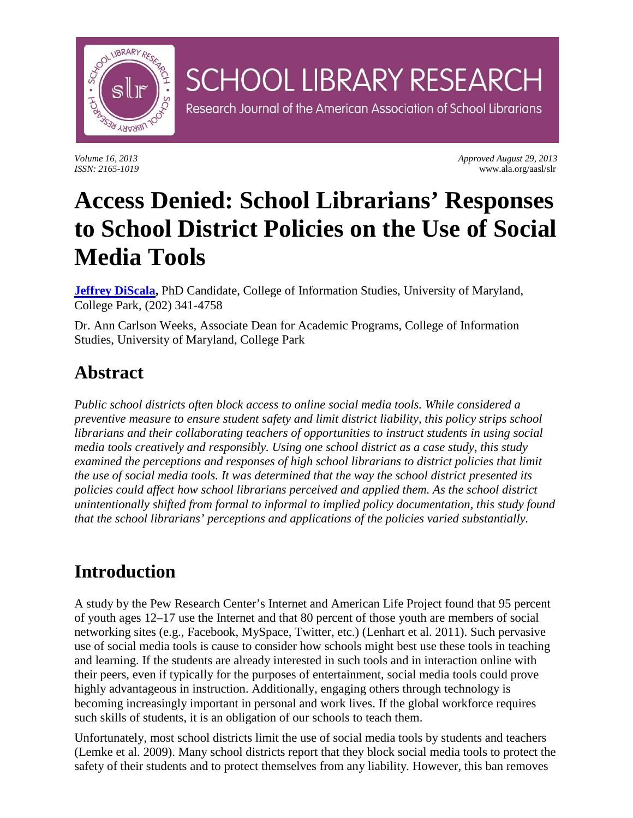

*Volume 16, 2013 Approved August 29, 2013 ISSN: 2165-1019* www.ala.org/aasl/slr

# **Access Denied: School Librarians' Responses to School District Policies on the Use of Social Media Tools**

**SCHOOL LIBRARY RESEARCH** 

Research Journal of the American Association of School Librarians

**[Jeffrey DiScala,](mailto:discala@umd.edu)** PhD Candidate, College of Information Studies, University of Maryland, College Park, (202) 341-4758

Dr. Ann Carlson Weeks, Associate Dean for Academic Programs, College of Information Studies, University of Maryland, College Park

### **Abstract**

*Public school districts often block access to online social media tools. While considered a preventive measure to ensure student safety and limit district liability, this policy strips school librarians and their collaborating teachers of opportunities to instruct students in using social media tools creatively and responsibly. Using one school district as a case study, this study examined the perceptions and responses of high school librarians to district policies that limit the use of social media tools. It was determined that the way the school district presented its policies could affect how school librarians perceived and applied them. As the school district unintentionally shifted from formal to informal to implied policy documentation, this study found that the school librarians' perceptions and applications of the policies varied substantially.*

### **Introduction**

A study by the Pew Research Center's Internet and American Life Project found that 95 percent of youth ages 12–17 use the Internet and that 80 percent of those youth are members of social networking sites (e.g., Facebook, MySpace, Twitter, etc.) (Lenhart et al. 2011). Such pervasive use of social media tools is cause to consider how schools might best use these tools in teaching and learning. If the students are already interested in such tools and in interaction online with their peers, even if typically for the purposes of entertainment, social media tools could prove highly advantageous in instruction. Additionally, engaging others through technology is becoming increasingly important in personal and work lives. If the global workforce requires such skills of students, it is an obligation of our schools to teach them.

Unfortunately, most school districts limit the use of social media tools by students and teachers (Lemke et al. 2009). Many school districts report that they block social media tools to protect the safety of their students and to protect themselves from any liability*.* However, this ban removes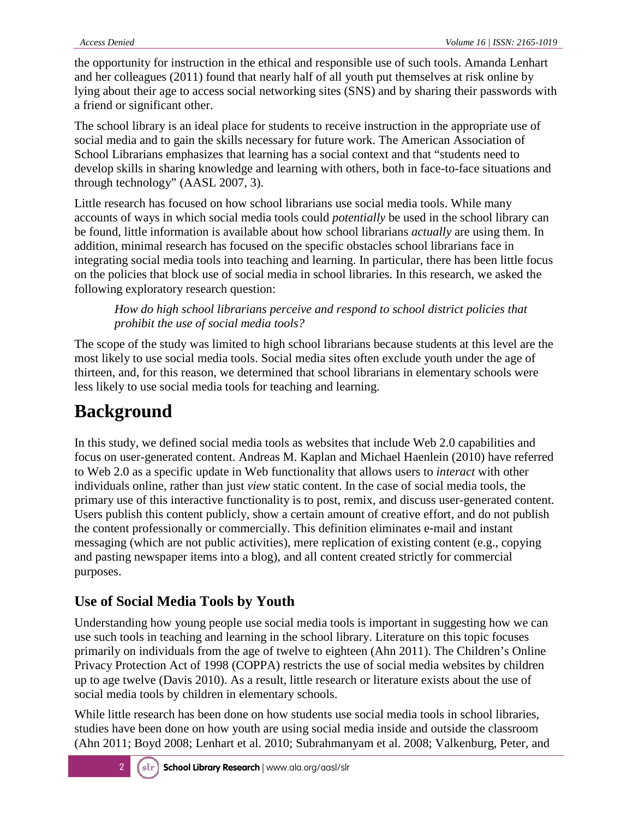the opportunity for instruction in the ethical and responsible use of such tools. Amanda Lenhart and her colleagues (2011) found that nearly half of all youth put themselves at risk online by lying about their age to access social networking sites (SNS) and by sharing their passwords with a friend or significant other.

The school library is an ideal place for students to receive instruction in the appropriate use of social media and to gain the skills necessary for future work. The American Association of School Librarians emphasizes that learning has a social context and that "students need to develop skills in sharing knowledge and learning with others, both in face-to-face situations and through technology" (AASL 2007, 3).

Little research has focused on how school librarians use social media tools. While many accounts of ways in which social media tools could *potentially* be used in the school library can be found, little information is available about how school librarians *actually* are using them. In addition, minimal research has focused on the specific obstacles school librarians face in integrating social media tools into teaching and learning. In particular, there has been little focus on the policies that block use of social media in school libraries. In this research, we asked the following exploratory research question:

*How do high school librarians perceive and respond to school district policies that prohibit the use of social media tools?*

The scope of the study was limited to high school librarians because students at this level are the most likely to use social media tools. Social media sites often exclude youth under the age of thirteen, and, for this reason, we determined that school librarians in elementary schools were less likely to use social media tools for teaching and learning.

### **Background**

In this study, we defined social media tools as websites that include Web 2.0 capabilities and focus on user-generated content. Andreas M. Kaplan and Michael Haenlein (2010) have referred to Web 2.0 as a specific update in Web functionality that allows users to *interact* with other individuals online, rather than just *view* static content. In the case of social media tools, the primary use of this interactive functionality is to post, remix, and discuss user-generated content. Users publish this content publicly, show a certain amount of creative effort, and do not publish the content professionally or commercially. This definition eliminates e-mail and instant messaging (which are not public activities), mere replication of existing content (e.g., copying and pasting newspaper items into a blog), and all content created strictly for commercial purposes.

#### **Use of Social Media Tools by Youth**

Understanding how young people use social media tools is important in suggesting how we can use such tools in teaching and learning in the school library. Literature on this topic focuses primarily on individuals from the age of twelve to eighteen (Ahn 2011). The Children's Online Privacy Protection Act of 1998 (COPPA) restricts the use of social media websites by children up to age twelve (Davis 2010). As a result, little research or literature exists about the use of social media tools by children in elementary schools.

While little research has been done on how students use social media tools in school libraries, studies have been done on how youth are using social media inside and outside the classroom (Ahn 2011; Boyd 2008; Lenhart et al. 2010; Subrahmanyam et al. 2008; Valkenburg, Peter, and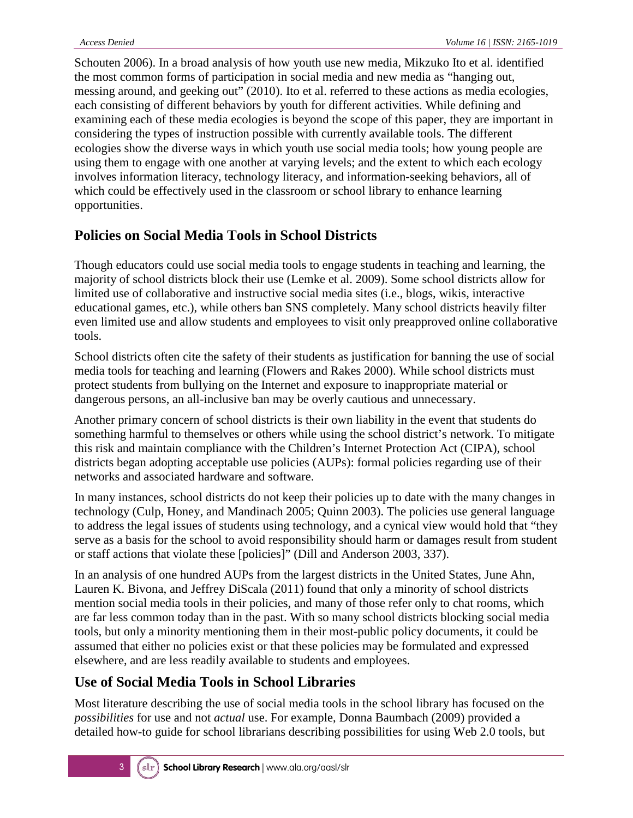Schouten 2006). In a broad analysis of how youth use new media, Mikzuko Ito et al. identified the most common forms of participation in social media and new media as "hanging out, messing around, and geeking out" (2010). Ito et al. referred to these actions as media ecologies, each consisting of different behaviors by youth for different activities. While defining and examining each of these media ecologies is beyond the scope of this paper, they are important in considering the types of instruction possible with currently available tools. The different ecologies show the diverse ways in which youth use social media tools; how young people are using them to engage with one another at varying levels; and the extent to which each ecology involves information literacy, technology literacy, and information-seeking behaviors, all of which could be effectively used in the classroom or school library to enhance learning opportunities.

#### **Policies on Social Media Tools in School Districts**

Though educators could use social media tools to engage students in teaching and learning, the majority of school districts block their use (Lemke et al. 2009). Some school districts allow for limited use of collaborative and instructive social media sites (i.e., blogs, wikis, interactive educational games, etc.), while others ban SNS completely. Many school districts heavily filter even limited use and allow students and employees to visit only preapproved online collaborative tools.

School districts often cite the safety of their students as justification for banning the use of social media tools for teaching and learning (Flowers and Rakes 2000). While school districts must protect students from bullying on the Internet and exposure to inappropriate material or dangerous persons, an all-inclusive ban may be overly cautious and unnecessary.

Another primary concern of school districts is their own liability in the event that students do something harmful to themselves or others while using the school district's network. To mitigate this risk and maintain compliance with the Children's Internet Protection Act (CIPA), school districts began adopting acceptable use policies (AUPs): formal policies regarding use of their networks and associated hardware and software.

In many instances, school districts do not keep their policies up to date with the many changes in technology (Culp, Honey, and Mandinach 2005; Quinn 2003). The policies use general language to address the legal issues of students using technology, and a cynical view would hold that "they serve as a basis for the school to avoid responsibility should harm or damages result from student or staff actions that violate these [policies]" (Dill and Anderson 2003, 337).

In an analysis of one hundred AUPs from the largest districts in the United States, June Ahn, Lauren K. Bivona, and Jeffrey DiScala (2011) found that only a minority of school districts mention social media tools in their policies, and many of those refer only to chat rooms, which are far less common today than in the past. With so many school districts blocking social media tools, but only a minority mentioning them in their most-public policy documents, it could be assumed that either no policies exist or that these policies may be formulated and expressed elsewhere, and are less readily available to students and employees.

#### **Use of Social Media Tools in School Libraries**

Most literature describing the use of social media tools in the school library has focused on the *possibilities* for use and not *actual* use. For example, Donna Baumbach (2009) provided a detailed how-to guide for school librarians describing possibilities for using Web 2.0 tools, but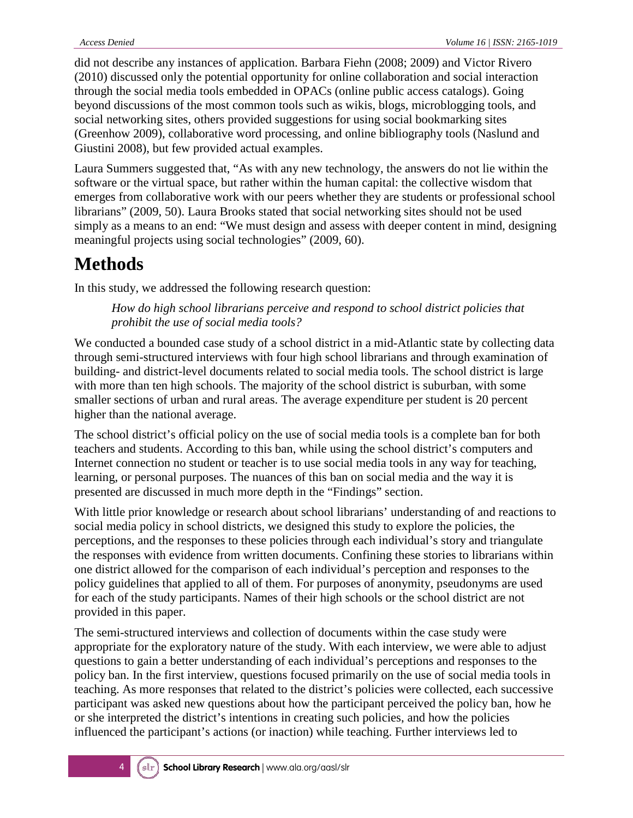did not describe any instances of application. Barbara Fiehn (2008; 2009) and Victor Rivero (2010) discussed only the potential opportunity for online collaboration and social interaction through the social media tools embedded in OPACs (online public access catalogs). Going beyond discussions of the most common tools such as wikis, blogs, microblogging tools, and social networking sites, others provided suggestions for using social bookmarking sites (Greenhow 2009), collaborative word processing, and online bibliography tools (Naslund and Giustini 2008), but few provided actual examples.

Laura Summers suggested that, "As with any new technology, the answers do not lie within the software or the virtual space, but rather within the human capital: the collective wisdom that emerges from collaborative work with our peers whether they are students or professional school librarians" (2009, 50). Laura Brooks stated that social networking sites should not be used simply as a means to an end: "We must design and assess with deeper content in mind, designing meaningful projects using social technologies" (2009, 60).

### **Methods**

In this study, we addressed the following research question:

*How do high school librarians perceive and respond to school district policies that prohibit the use of social media tools?*

We conducted a bounded case study of a school district in a mid-Atlantic state by collecting data through semi-structured interviews with four high school librarians and through examination of building- and district-level documents related to social media tools. The school district is large with more than ten high schools. The majority of the school district is suburban, with some smaller sections of urban and rural areas. The average expenditure per student is 20 percent higher than the national average.

The school district's official policy on the use of social media tools is a complete ban for both teachers and students. According to this ban, while using the school district's computers and Internet connection no student or teacher is to use social media tools in any way for teaching, learning, or personal purposes. The nuances of this ban on social media and the way it is presented are discussed in much more depth in the "Findings" section.

With little prior knowledge or research about school librarians' understanding of and reactions to social media policy in school districts, we designed this study to explore the policies, the perceptions, and the responses to these policies through each individual's story and triangulate the responses with evidence from written documents. Confining these stories to librarians within one district allowed for the comparison of each individual's perception and responses to the policy guidelines that applied to all of them. For purposes of anonymity, pseudonyms are used for each of the study participants. Names of their high schools or the school district are not provided in this paper.

The semi-structured interviews and collection of documents within the case study were appropriate for the exploratory nature of the study. With each interview, we were able to adjust questions to gain a better understanding of each individual's perceptions and responses to the policy ban. In the first interview, questions focused primarily on the use of social media tools in teaching. As more responses that related to the district's policies were collected, each successive participant was asked new questions about how the participant perceived the policy ban, how he or she interpreted the district's intentions in creating such policies, and how the policies influenced the participant's actions (or inaction) while teaching. Further interviews led to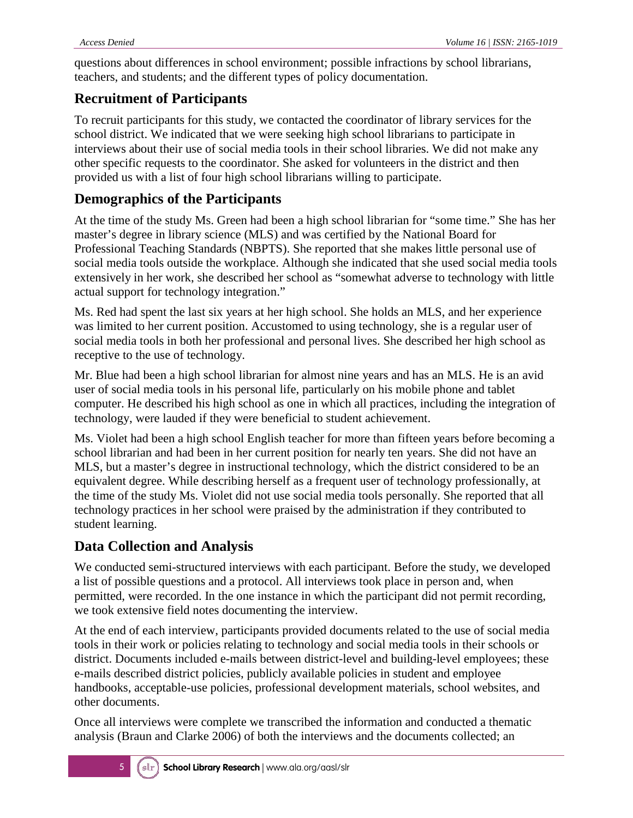questions about differences in school environment; possible infractions by school librarians, teachers, and students; and the different types of policy documentation.

#### **Recruitment of Participants**

To recruit participants for this study, we contacted the coordinator of library services for the school district. We indicated that we were seeking high school librarians to participate in interviews about their use of social media tools in their school libraries. We did not make any other specific requests to the coordinator. She asked for volunteers in the district and then provided us with a list of four high school librarians willing to participate.

#### **Demographics of the Participants**

At the time of the study Ms. Green had been a high school librarian for "some time." She has her master's degree in library science (MLS) and was certified by the National Board for Professional Teaching Standards (NBPTS). She reported that she makes little personal use of social media tools outside the workplace. Although she indicated that she used social media tools extensively in her work, she described her school as "somewhat adverse to technology with little actual support for technology integration."

Ms. Red had spent the last six years at her high school. She holds an MLS, and her experience was limited to her current position. Accustomed to using technology, she is a regular user of social media tools in both her professional and personal lives. She described her high school as receptive to the use of technology.

Mr. Blue had been a high school librarian for almost nine years and has an MLS. He is an avid user of social media tools in his personal life, particularly on his mobile phone and tablet computer. He described his high school as one in which all practices, including the integration of technology, were lauded if they were beneficial to student achievement.

Ms. Violet had been a high school English teacher for more than fifteen years before becoming a school librarian and had been in her current position for nearly ten years. She did not have an MLS, but a master's degree in instructional technology, which the district considered to be an equivalent degree. While describing herself as a frequent user of technology professionally, at the time of the study Ms. Violet did not use social media tools personally. She reported that all technology practices in her school were praised by the administration if they contributed to student learning.

#### **Data Collection and Analysis**

We conducted semi-structured interviews with each participant. Before the study, we developed a list of possible questions and a protocol. All interviews took place in person and, when permitted, were recorded. In the one instance in which the participant did not permit recording, we took extensive field notes documenting the interview.

At the end of each interview, participants provided documents related to the use of social media tools in their work or policies relating to technology and social media tools in their schools or district. Documents included e-mails between district-level and building-level employees; these e-mails described district policies, publicly available policies in student and employee handbooks, acceptable-use policies, professional development materials, school websites, and other documents.

Once all interviews were complete we transcribed the information and conducted a thematic analysis (Braun and Clarke 2006) of both the interviews and the documents collected; an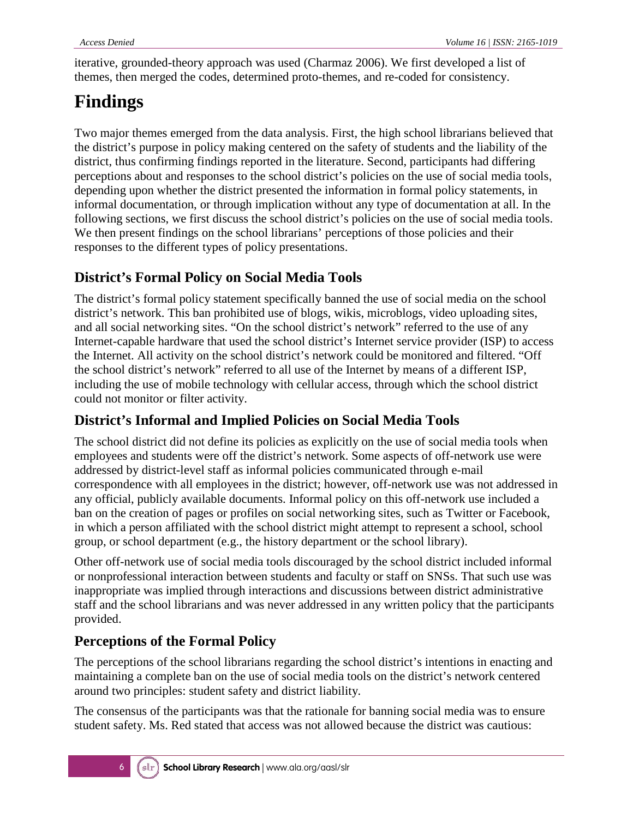iterative, grounded-theory approach was used (Charmaz 2006). We first developed a list of themes, then merged the codes, determined proto-themes, and re-coded for consistency.

## **Findings**

Two major themes emerged from the data analysis. First, the high school librarians believed that the district's purpose in policy making centered on the safety of students and the liability of the district, thus confirming findings reported in the literature. Second, participants had differing perceptions about and responses to the school district's policies on the use of social media tools, depending upon whether the district presented the information in formal policy statements, in informal documentation, or through implication without any type of documentation at all. In the following sections, we first discuss the school district's policies on the use of social media tools. We then present findings on the school librarians' perceptions of those policies and their responses to the different types of policy presentations.

### **District's Formal Policy on Social Media Tools**

The district's formal policy statement specifically banned the use of social media on the school district's network. This ban prohibited use of blogs, wikis, microblogs, video uploading sites, and all social networking sites. "On the school district's network" referred to the use of any Internet-capable hardware that used the school district's Internet service provider (ISP) to access the Internet. All activity on the school district's network could be monitored and filtered. "Off the school district's network" referred to all use of the Internet by means of a different ISP, including the use of mobile technology with cellular access, through which the school district could not monitor or filter activity.

#### **District's Informal and Implied Policies on Social Media Tools**

The school district did not define its policies as explicitly on the use of social media tools when employees and students were off the district's network. Some aspects of off-network use were addressed by district-level staff as informal policies communicated through e-mail correspondence with all employees in the district; however, off-network use was not addressed in any official, publicly available documents. Informal policy on this off-network use included a ban on the creation of pages or profiles on social networking sites, such as Twitter or Facebook, in which a person affiliated with the school district might attempt to represent a school, school group, or school department (e.g., the history department or the school library).

Other off-network use of social media tools discouraged by the school district included informal or nonprofessional interaction between students and faculty or staff on SNSs. That such use was inappropriate was implied through interactions and discussions between district administrative staff and the school librarians and was never addressed in any written policy that the participants provided.

#### **Perceptions of the Formal Policy**

The perceptions of the school librarians regarding the school district's intentions in enacting and maintaining a complete ban on the use of social media tools on the district's network centered around two principles: student safety and district liability.

The consensus of the participants was that the rationale for banning social media was to ensure student safety. Ms. Red stated that access was not allowed because the district was cautious: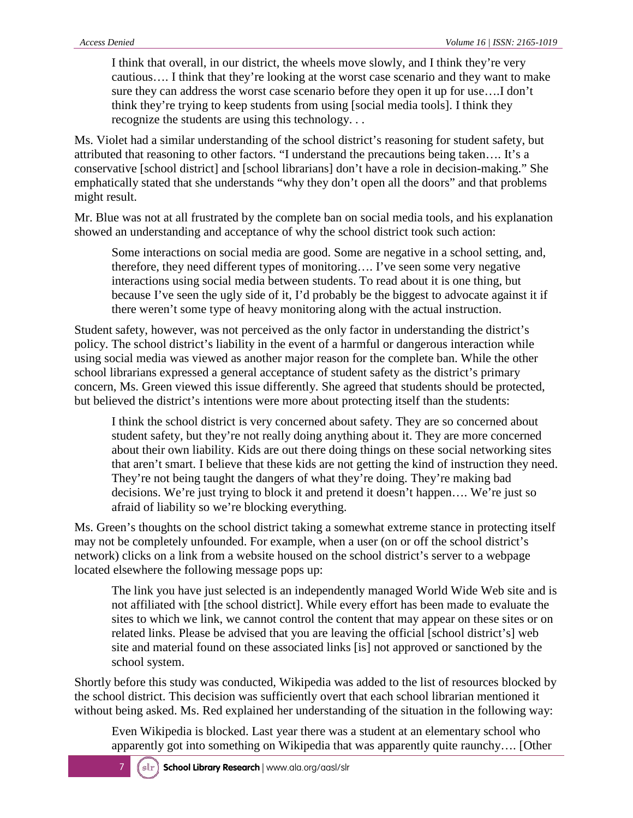I think that overall, in our district, the wheels move slowly, and I think they're very cautious…. I think that they're looking at the worst case scenario and they want to make sure they can address the worst case scenario before they open it up for use….I don't think they're trying to keep students from using [social media tools]. I think they recognize the students are using this technology. . .

Ms. Violet had a similar understanding of the school district's reasoning for student safety, but attributed that reasoning to other factors. "I understand the precautions being taken…. It's a conservative [school district] and [school librarians] don't have a role in decision-making." She emphatically stated that she understands "why they don't open all the doors" and that problems might result.

Mr. Blue was not at all frustrated by the complete ban on social media tools, and his explanation showed an understanding and acceptance of why the school district took such action:

Some interactions on social media are good. Some are negative in a school setting, and, therefore, they need different types of monitoring…. I've seen some very negative interactions using social media between students. To read about it is one thing, but because I've seen the ugly side of it, I'd probably be the biggest to advocate against it if there weren't some type of heavy monitoring along with the actual instruction.

Student safety, however, was not perceived as the only factor in understanding the district's policy. The school district's liability in the event of a harmful or dangerous interaction while using social media was viewed as another major reason for the complete ban. While the other school librarians expressed a general acceptance of student safety as the district's primary concern, Ms. Green viewed this issue differently. She agreed that students should be protected, but believed the district's intentions were more about protecting itself than the students:

I think the school district is very concerned about safety. They are so concerned about student safety, but they're not really doing anything about it. They are more concerned about their own liability. Kids are out there doing things on these social networking sites that aren't smart. I believe that these kids are not getting the kind of instruction they need. They're not being taught the dangers of what they're doing. They're making bad decisions. We're just trying to block it and pretend it doesn't happen…. We're just so afraid of liability so we're blocking everything.

Ms. Green's thoughts on the school district taking a somewhat extreme stance in protecting itself may not be completely unfounded. For example, when a user (on or off the school district's network) clicks on a link from a website housed on the school district's server to a webpage located elsewhere the following message pops up:

The link you have just selected is an independently managed World Wide Web site and is not affiliated with [the school district]. While every effort has been made to evaluate the sites to which we link, we cannot control the content that may appear on these sites or on related links. Please be advised that you are leaving the official [school district's] web site and material found on these associated links [is] not approved or sanctioned by the school system.

Shortly before this study was conducted, Wikipedia was added to the list of resources blocked by the school district. This decision was sufficiently overt that each school librarian mentioned it without being asked. Ms. Red explained her understanding of the situation in the following way:

Even Wikipedia is blocked. Last year there was a student at an elementary school who apparently got into something on Wikipedia that was apparently quite raunchy…. [Other

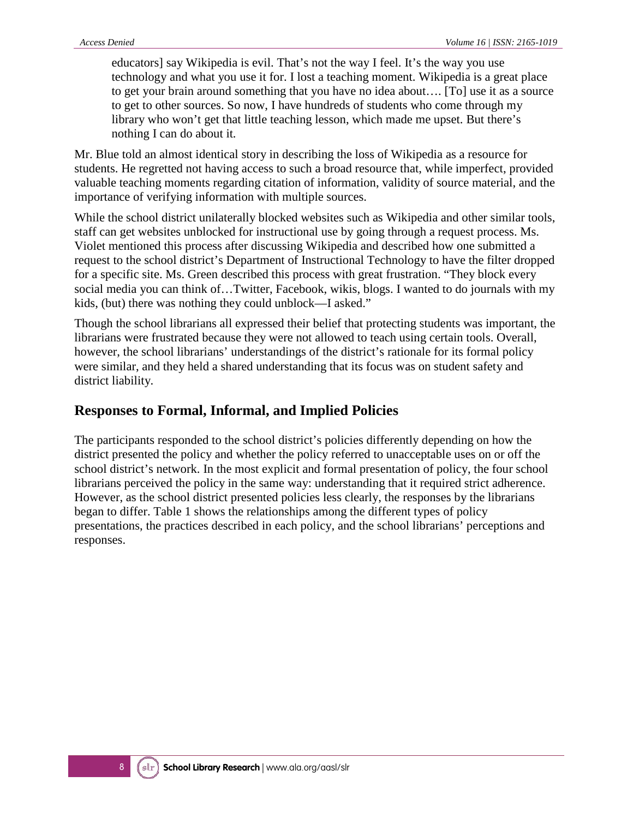educators] say Wikipedia is evil. That's not the way I feel. It's the way you use technology and what you use it for. I lost a teaching moment. Wikipedia is a great place to get your brain around something that you have no idea about…. [To] use it as a source to get to other sources. So now, I have hundreds of students who come through my library who won't get that little teaching lesson, which made me upset. But there's nothing I can do about it*.*

Mr. Blue told an almost identical story in describing the loss of Wikipedia as a resource for students. He regretted not having access to such a broad resource that, while imperfect, provided valuable teaching moments regarding citation of information, validity of source material, and the importance of verifying information with multiple sources.

While the school district unilaterally blocked websites such as Wikipedia and other similar tools, staff can get websites unblocked for instructional use by going through a request process. Ms. Violet mentioned this process after discussing Wikipedia and described how one submitted a request to the school district's Department of Instructional Technology to have the filter dropped for a specific site. Ms. Green described this process with great frustration. "They block every social media you can think of…Twitter, Facebook, wikis, blogs. I wanted to do journals with my kids, (but) there was nothing they could unblock—I asked."

Though the school librarians all expressed their belief that protecting students was important, the librarians were frustrated because they were not allowed to teach using certain tools. Overall, however, the school librarians' understandings of the district's rationale for its formal policy were similar, and they held a shared understanding that its focus was on student safety and district liability.

#### **Responses to Formal, Informal, and Implied Policies**

The participants responded to the school district's policies differently depending on how the district presented the policy and whether the policy referred to unacceptable uses on or off the school district's network. In the most explicit and formal presentation of policy, the four school librarians perceived the policy in the same way: understanding that it required strict adherence. However, as the school district presented policies less clearly, the responses by the librarians began to differ. Table 1 shows the relationships among the different types of policy presentations, the practices described in each policy, and the school librarians' perceptions and responses.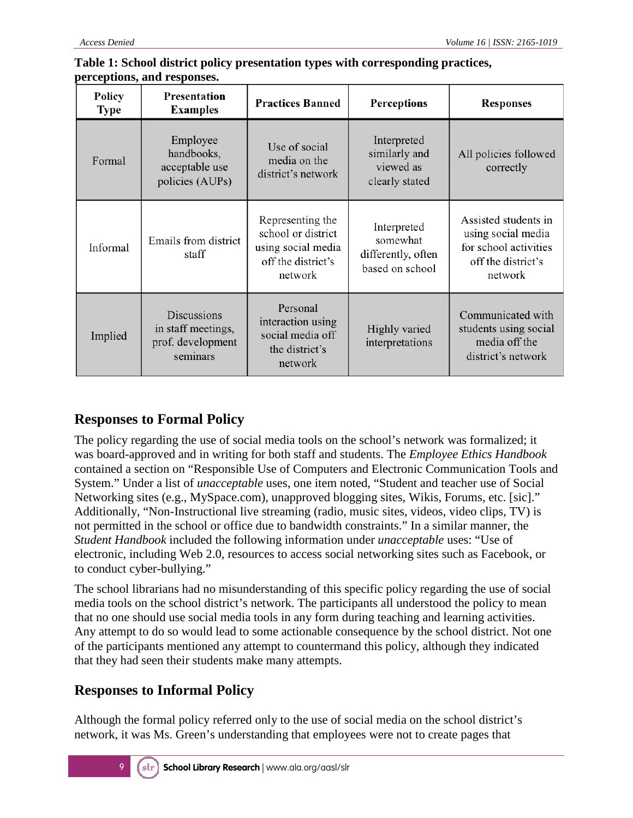| Policy<br><b>Type</b> | Presentation<br><b>Examples</b>                                           | <b>Practices Banned</b>                                                                       | Perceptions                                                      | <b>Responses</b>                                                                                     |
|-----------------------|---------------------------------------------------------------------------|-----------------------------------------------------------------------------------------------|------------------------------------------------------------------|------------------------------------------------------------------------------------------------------|
| Formal                | Employee<br>handbooks,<br>acceptable use<br>policies (AUPs)               | Use of social<br>media on the<br>district's network                                           | Interpreted<br>similarly and<br>viewed as<br>clearly stated      | All policies followed<br>correctly                                                                   |
| Informal              | Emails from district<br>staff                                             | Representing the<br>school or district<br>using social media<br>off the district's<br>network | Interpreted<br>somewhat<br>differently, often<br>based on school | Assisted students in<br>using social media<br>for school activities<br>off the district's<br>network |
| Implied               | <b>Discussions</b><br>in staff meetings,<br>prof. development<br>seminars | Personal<br>interaction using<br>social media off<br>the district's<br>network                | Highly varied<br>interpretations                                 | Communicated with<br>students using social<br>media off the<br>district's network                    |

#### **Table 1: School district policy presentation types with corresponding practices, perceptions, and responses.**

#### **Responses to Formal Policy**

The policy regarding the use of social media tools on the school's network was formalized; it was board-approved and in writing for both staff and students. The *Employee Ethics Handbook* contained a section on "Responsible Use of Computers and Electronic Communication Tools and System." Under a list of *unacceptable* uses, one item noted, "Student and teacher use of Social Networking sites (e.g., MySpace.com), unapproved blogging sites, Wikis, Forums, etc. [sic]." Additionally, "Non-Instructional live streaming (radio, music sites, videos, video clips, TV) is not permitted in the school or office due to bandwidth constraints." In a similar manner, the *Student Handbook* included the following information under *unacceptable* uses: "Use of electronic, including Web 2.0, resources to access social networking sites such as Facebook, or to conduct cyber-bullying."

The school librarians had no misunderstanding of this specific policy regarding the use of social media tools on the school district's network. The participants all understood the policy to mean that no one should use social media tools in any form during teaching and learning activities. Any attempt to do so would lead to some actionable consequence by the school district. Not one of the participants mentioned any attempt to countermand this policy, although they indicated that they had seen their students make many attempts.

#### **Responses to Informal Policy**

Although the formal policy referred only to the use of social media on the school district's network, it was Ms. Green's understanding that employees were not to create pages that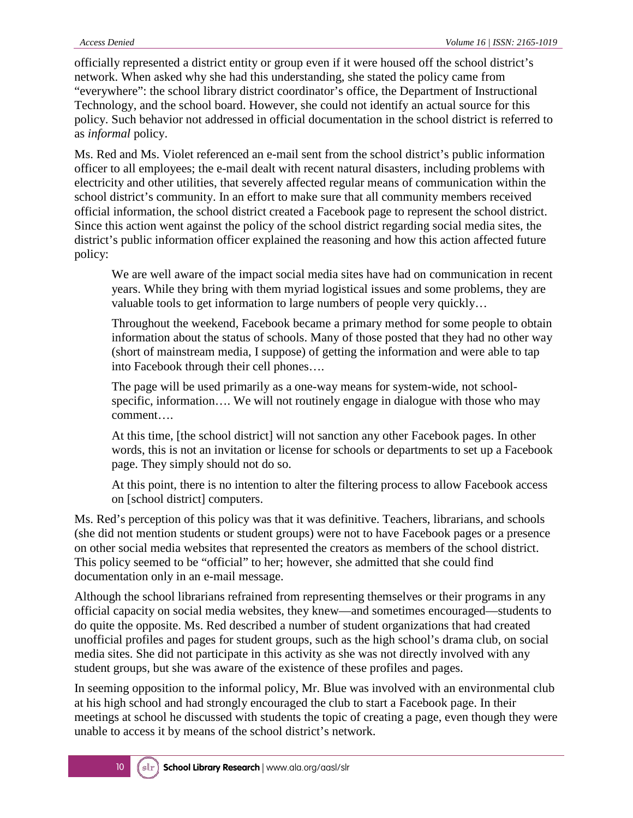officially represented a district entity or group even if it were housed off the school district's network. When asked why she had this understanding, she stated the policy came from "everywhere": the school library district coordinator's office, the Department of Instructional Technology, and the school board. However, she could not identify an actual source for this policy. Such behavior not addressed in official documentation in the school district is referred to as *informal* policy.

Ms. Red and Ms. Violet referenced an e-mail sent from the school district's public information officer to all employees; the e-mail dealt with recent natural disasters, including problems with electricity and other utilities, that severely affected regular means of communication within the school district's community. In an effort to make sure that all community members received official information, the school district created a Facebook page to represent the school district. Since this action went against the policy of the school district regarding social media sites, the district's public information officer explained the reasoning and how this action affected future policy:

We are well aware of the impact social media sites have had on communication in recent years. While they bring with them myriad logistical issues and some problems, they are valuable tools to get information to large numbers of people very quickly…

Throughout the weekend, Facebook became a primary method for some people to obtain information about the status of schools. Many of those posted that they had no other way (short of mainstream media, I suppose) of getting the information and were able to tap into Facebook through their cell phones….

The page will be used primarily as a one-way means for system-wide, not schoolspecific, information…. We will not routinely engage in dialogue with those who may comment….

At this time, [the school district] will not sanction any other Facebook pages. In other words, this is not an invitation or license for schools or departments to set up a Facebook page. They simply should not do so.

At this point, there is no intention to alter the filtering process to allow Facebook access on [school district] computers.

Ms. Red's perception of this policy was that it was definitive. Teachers, librarians, and schools (she did not mention students or student groups) were not to have Facebook pages or a presence on other social media websites that represented the creators as members of the school district. This policy seemed to be "official" to her; however, she admitted that she could find documentation only in an e-mail message.

Although the school librarians refrained from representing themselves or their programs in any official capacity on social media websites, they knew—and sometimes encouraged—students to do quite the opposite. Ms. Red described a number of student organizations that had created unofficial profiles and pages for student groups, such as the high school's drama club, on social media sites. She did not participate in this activity as she was not directly involved with any student groups, but she was aware of the existence of these profiles and pages.

In seeming opposition to the informal policy, Mr. Blue was involved with an environmental club at his high school and had strongly encouraged the club to start a Facebook page. In their meetings at school he discussed with students the topic of creating a page, even though they were unable to access it by means of the school district's network.

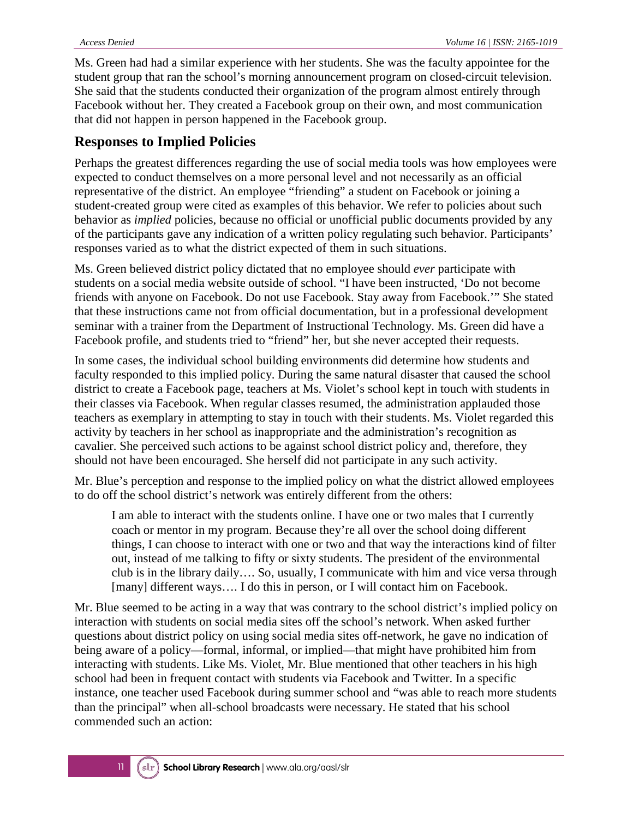Ms. Green had had a similar experience with her students. She was the faculty appointee for the student group that ran the school's morning announcement program on closed-circuit television. She said that the students conducted their organization of the program almost entirely through Facebook without her. They created a Facebook group on their own, and most communication that did not happen in person happened in the Facebook group.

#### **Responses to Implied Policies**

Perhaps the greatest differences regarding the use of social media tools was how employees were expected to conduct themselves on a more personal level and not necessarily as an official representative of the district. An employee "friending" a student on Facebook or joining a student-created group were cited as examples of this behavior. We refer to policies about such behavior as *implied* policies, because no official or unofficial public documents provided by any of the participants gave any indication of a written policy regulating such behavior. Participants' responses varied as to what the district expected of them in such situations.

Ms. Green believed district policy dictated that no employee should *ever* participate with students on a social media website outside of school. "I have been instructed, 'Do not become friends with anyone on Facebook. Do not use Facebook. Stay away from Facebook.'" She stated that these instructions came not from official documentation, but in a professional development seminar with a trainer from the Department of Instructional Technology. Ms. Green did have a Facebook profile, and students tried to "friend" her, but she never accepted their requests.

In some cases, the individual school building environments did determine how students and faculty responded to this implied policy. During the same natural disaster that caused the school district to create a Facebook page, teachers at Ms. Violet's school kept in touch with students in their classes via Facebook. When regular classes resumed, the administration applauded those teachers as exemplary in attempting to stay in touch with their students. Ms. Violet regarded this activity by teachers in her school as inappropriate and the administration's recognition as cavalier. She perceived such actions to be against school district policy and, therefore, they should not have been encouraged. She herself did not participate in any such activity.

Mr. Blue's perception and response to the implied policy on what the district allowed employees to do off the school district's network was entirely different from the others:

I am able to interact with the students online. I have one or two males that I currently coach or mentor in my program. Because they're all over the school doing different things, I can choose to interact with one or two and that way the interactions kind of filter out, instead of me talking to fifty or sixty students. The president of the environmental club is in the library daily…. So, usually, I communicate with him and vice versa through [many] different ways…. I do this in person, or I will contact him on Facebook.

Mr. Blue seemed to be acting in a way that was contrary to the school district's implied policy on interaction with students on social media sites off the school's network. When asked further questions about district policy on using social media sites off-network, he gave no indication of being aware of a policy—formal, informal, or implied—that might have prohibited him from interacting with students. Like Ms. Violet, Mr. Blue mentioned that other teachers in his high school had been in frequent contact with students via Facebook and Twitter. In a specific instance, one teacher used Facebook during summer school and "was able to reach more students than the principal" when all-school broadcasts were necessary. He stated that his school commended such an action:

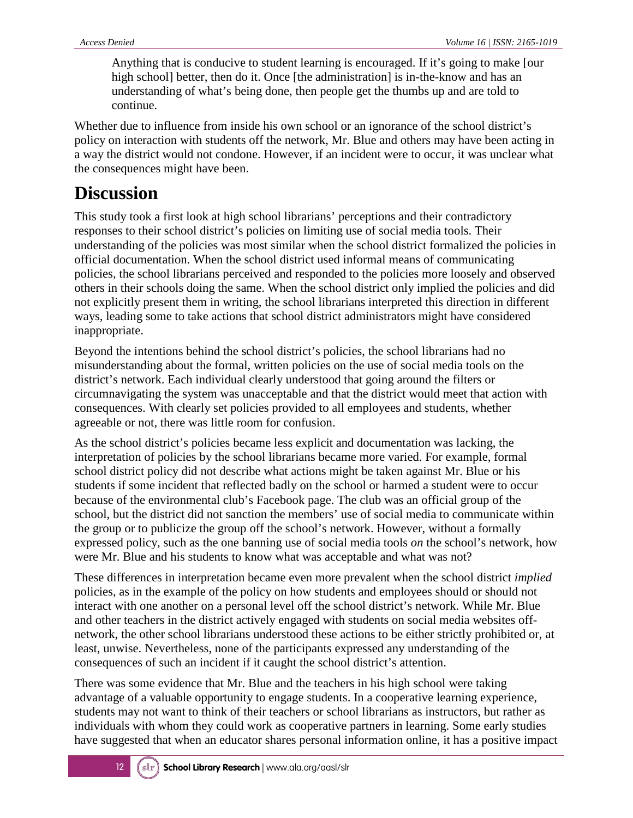Anything that is conducive to student learning is encouraged. If it's going to make [our high school] better, then do it. Once [the administration] is in-the-know and has an understanding of what's being done, then people get the thumbs up and are told to continue.

Whether due to influence from inside his own school or an ignorance of the school district's policy on interaction with students off the network, Mr. Blue and others may have been acting in a way the district would not condone. However, if an incident were to occur, it was unclear what the consequences might have been.

### **Discussion**

This study took a first look at high school librarians' perceptions and their contradictory responses to their school district's policies on limiting use of social media tools. Their understanding of the policies was most similar when the school district formalized the policies in official documentation. When the school district used informal means of communicating policies, the school librarians perceived and responded to the policies more loosely and observed others in their schools doing the same. When the school district only implied the policies and did not explicitly present them in writing, the school librarians interpreted this direction in different ways, leading some to take actions that school district administrators might have considered inappropriate.

Beyond the intentions behind the school district's policies, the school librarians had no misunderstanding about the formal, written policies on the use of social media tools on the district's network. Each individual clearly understood that going around the filters or circumnavigating the system was unacceptable and that the district would meet that action with consequences. With clearly set policies provided to all employees and students, whether agreeable or not, there was little room for confusion.

As the school district's policies became less explicit and documentation was lacking, the interpretation of policies by the school librarians became more varied. For example, formal school district policy did not describe what actions might be taken against Mr. Blue or his students if some incident that reflected badly on the school or harmed a student were to occur because of the environmental club's Facebook page. The club was an official group of the school, but the district did not sanction the members' use of social media to communicate within the group or to publicize the group off the school's network. However, without a formally expressed policy, such as the one banning use of social media tools *on* the school's network, how were Mr. Blue and his students to know what was acceptable and what was not?

These differences in interpretation became even more prevalent when the school district *implied* policies, as in the example of the policy on how students and employees should or should not interact with one another on a personal level off the school district's network. While Mr. Blue and other teachers in the district actively engaged with students on social media websites offnetwork, the other school librarians understood these actions to be either strictly prohibited or, at least, unwise. Nevertheless, none of the participants expressed any understanding of the consequences of such an incident if it caught the school district's attention.

There was some evidence that Mr. Blue and the teachers in his high school were taking advantage of a valuable opportunity to engage students. In a cooperative learning experience, students may not want to think of their teachers or school librarians as instructors, but rather as individuals with whom they could work as cooperative partners in learning. Some early studies have suggested that when an educator shares personal information online, it has a positive impact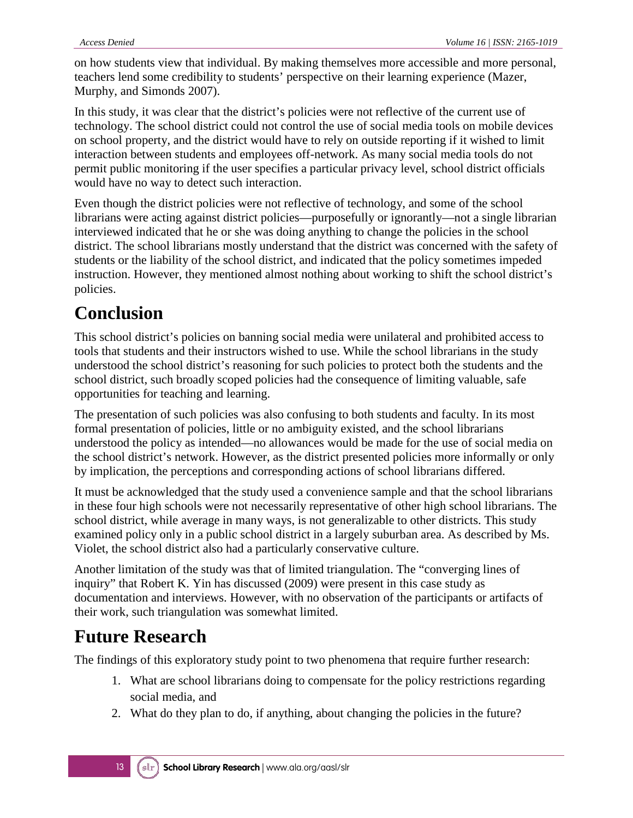on how students view that individual. By making themselves more accessible and more personal, teachers lend some credibility to students' perspective on their learning experience (Mazer, Murphy, and Simonds 2007).

In this study, it was clear that the district's policies were not reflective of the current use of technology. The school district could not control the use of social media tools on mobile devices on school property, and the district would have to rely on outside reporting if it wished to limit interaction between students and employees off-network. As many social media tools do not permit public monitoring if the user specifies a particular privacy level, school district officials would have no way to detect such interaction.

Even though the district policies were not reflective of technology, and some of the school librarians were acting against district policies—purposefully or ignorantly—not a single librarian interviewed indicated that he or she was doing anything to change the policies in the school district. The school librarians mostly understand that the district was concerned with the safety of students or the liability of the school district, and indicated that the policy sometimes impeded instruction. However, they mentioned almost nothing about working to shift the school district's policies.

### **Conclusion**

This school district's policies on banning social media were unilateral and prohibited access to tools that students and their instructors wished to use. While the school librarians in the study understood the school district's reasoning for such policies to protect both the students and the school district, such broadly scoped policies had the consequence of limiting valuable, safe opportunities for teaching and learning.

The presentation of such policies was also confusing to both students and faculty. In its most formal presentation of policies, little or no ambiguity existed, and the school librarians understood the policy as intended—no allowances would be made for the use of social media on the school district's network. However, as the district presented policies more informally or only by implication, the perceptions and corresponding actions of school librarians differed.

It must be acknowledged that the study used a convenience sample and that the school librarians in these four high schools were not necessarily representative of other high school librarians. The school district, while average in many ways, is not generalizable to other districts. This study examined policy only in a public school district in a largely suburban area. As described by Ms. Violet, the school district also had a particularly conservative culture.

Another limitation of the study was that of limited triangulation. The "converging lines of inquiry" that Robert K. Yin has discussed (2009) were present in this case study as documentation and interviews. However, with no observation of the participants or artifacts of their work, such triangulation was somewhat limited.

### **Future Research**

The findings of this exploratory study point to two phenomena that require further research:

- 1. What are school librarians doing to compensate for the policy restrictions regarding social media, and
- 2. What do they plan to do, if anything, about changing the policies in the future?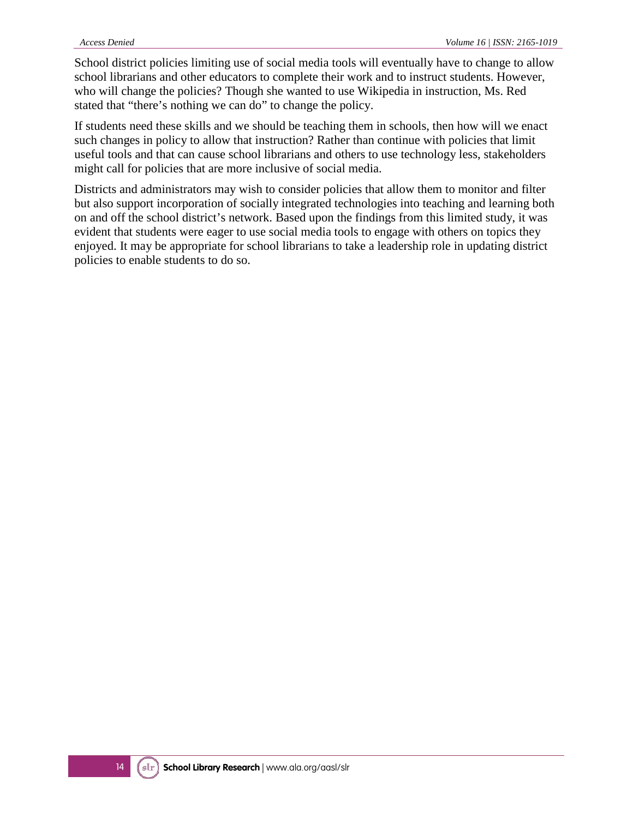School district policies limiting use of social media tools will eventually have to change to allow school librarians and other educators to complete their work and to instruct students. However, who will change the policies? Though she wanted to use Wikipedia in instruction, Ms. Red stated that "there's nothing we can do" to change the policy.

If students need these skills and we should be teaching them in schools, then how will we enact such changes in policy to allow that instruction? Rather than continue with policies that limit useful tools and that can cause school librarians and others to use technology less, stakeholders might call for policies that are more inclusive of social media.

Districts and administrators may wish to consider policies that allow them to monitor and filter but also support incorporation of socially integrated technologies into teaching and learning both on and off the school district's network. Based upon the findings from this limited study, it was evident that students were eager to use social media tools to engage with others on topics they enjoyed. It may be appropriate for school librarians to take a leadership role in updating district policies to enable students to do so.

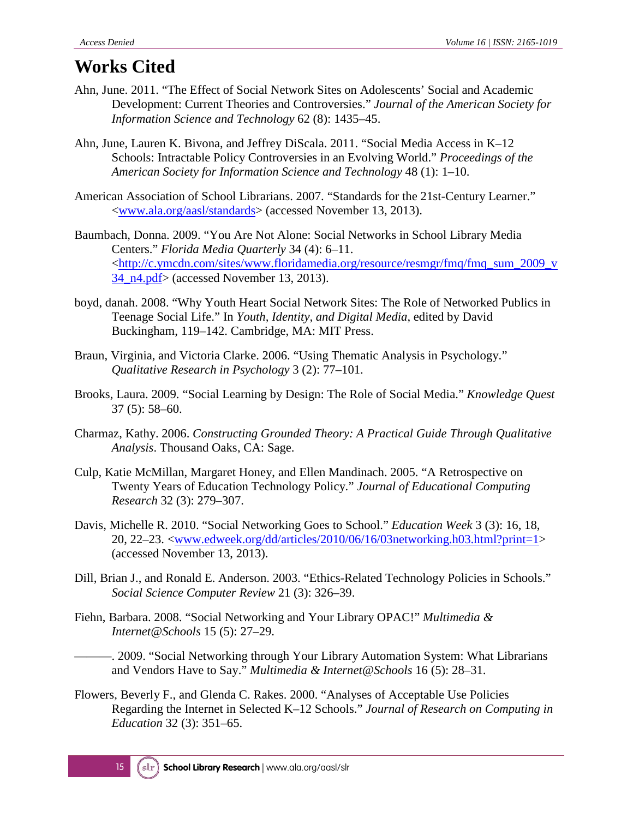### **Works Cited**

- Ahn, June. 2011. "The Effect of Social Network Sites on Adolescents' Social and Academic Development: Current Theories and Controversies." *Journal of the American Society for Information Science and Technology* 62 (8): 1435–45.
- Ahn, June, Lauren K. Bivona, and Jeffrey DiScala. 2011. "Social Media Access in K–12 Schools: Intractable Policy Controversies in an Evolving World." *Proceedings of the American Society for Information Science and Technology* 48 (1): 1–10.
- American Association of School Librarians. 2007. "Standards for the 21st-Century Learner." <www.ala.org/aasl/standards> (accessed November 13, 2013).
- Baumbach, Donna. 2009. "You Are Not Alone: Social Networks in School Library Media Centers." *Florida Media Quarterly* 34 (4): 6–11. [<http://c.ymcdn.com/sites/www.floridamedia.org/resource/resmgr/fmq/fmq\\_sum\\_2009\\_v](http://c.ymcdn.com/sites/www.floridamedia.org/resource/resmgr/fmq/fmq_sum_2009_v34_n4.pdf) [34\\_n4.pdf>](http://c.ymcdn.com/sites/www.floridamedia.org/resource/resmgr/fmq/fmq_sum_2009_v34_n4.pdf) (accessed November 13, 2013).
- boyd, danah. 2008. "Why Youth Heart Social Network Sites: The Role of Networked Publics in Teenage Social Life." In *Youth, Identity, and Digital Media*, edited by David Buckingham, 119–142. Cambridge, MA: MIT Press.
- Braun, Virginia, and Victoria Clarke. 2006. "Using Thematic Analysis in Psychology." *Qualitative Research in Psychology* 3 (2): 77–101.
- Brooks, Laura. 2009. "Social Learning by Design: The Role of Social Media." *Knowledge Quest* 37 (5): 58–60.
- Charmaz, Kathy. 2006. *Constructing Grounded Theory: A Practical Guide Through Qualitative Analysis*. Thousand Oaks, CA: Sage.
- Culp, Katie McMillan, Margaret Honey, and Ellen Mandinach. 2005. "A Retrospective on Twenty Years of Education Technology Policy." *Journal of Educational Computing Research* 32 (3): 279–307.
- Davis, Michelle R. 2010. "Social Networking Goes to School." *Education Week* 3 (3): 16, 18, 20, 22–23. <www.edweek.org/dd/articles/2010/06/16/03networking.h03.html?print=1> (accessed November 13, 2013).
- Dill, Brian J., and Ronald E. Anderson. 2003. "Ethics-Related Technology Policies in Schools." *Social Science Computer Review* 21 (3): 326–39.
- Fiehn, Barbara. 2008. "Social Networking and Your Library OPAC!" *Multimedia & Internet@Schools* 15 (5): 27–29.

———. 2009. "Social Networking through Your Library Automation System: What Librarians and Vendors Have to Say." *Multimedia & Internet@Schools* 16 (5): 28–31.

Flowers, Beverly F., and Glenda C. Rakes. 2000. "Analyses of Acceptable Use Policies Regarding the Internet in Selected K–12 Schools." *Journal of Research on Computing in Education* 32 (3): 351–65.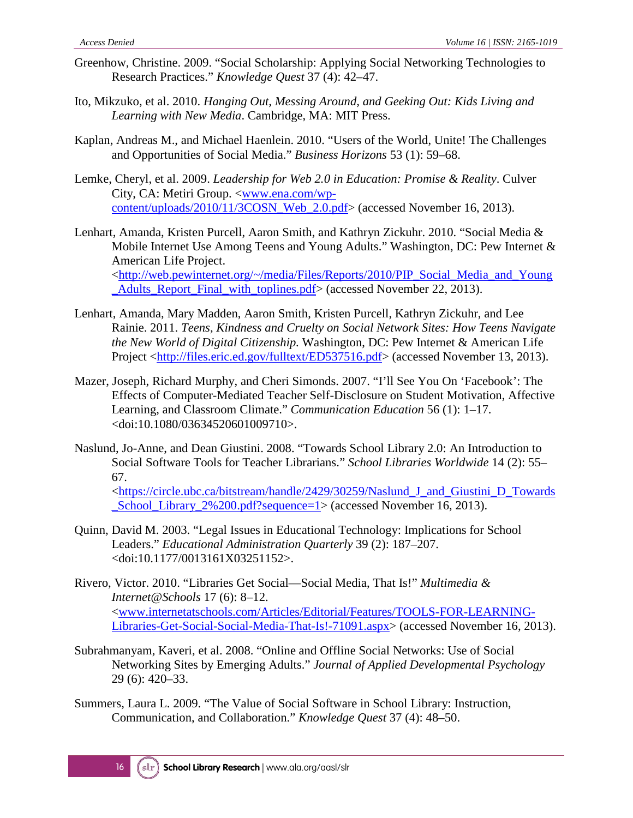- Greenhow, Christine. 2009. "Social Scholarship: Applying Social Networking Technologies to Research Practices." *Knowledge Quest* 37 (4): 42–47.
- Ito, Mikzuko, et al. 2010. *Hanging Out, Messing Around, and Geeking Out: Kids Living and Learning with New Media*. Cambridge, MA: MIT Press.
- Kaplan, Andreas M., and Michael Haenlein. 2010. "Users of the World, Unite! The Challenges and Opportunities of Social Media." *Business Horizons* 53 (1): 59–68.
- Lemke, Cheryl, et al. 2009. *Leadership for Web 2.0 in Education: Promise & Reality*. Culver City, CA: Metiri Group. [<www.ena.com/wp](http://www.ena.com/wp-content/uploads/2010/11/3COSN_Web_2.0.pdf)[content/uploads/2010/11/3COSN\\_Web\\_2.0.pdf>](http://www.ena.com/wp-content/uploads/2010/11/3COSN_Web_2.0.pdf) (accessed November 16, 2013).
- Lenhart, Amanda, Kristen Purcell, Aaron Smith, and Kathryn Zickuhr. 2010. "Social Media & Mobile Internet Use Among Teens and Young Adults." Washington, DC: Pew Internet & American Life Project. [<http://web.pewinternet.org/~/media/Files/Reports/2010/PIP\\_Social\\_Media\\_and\\_Young](http://web.pewinternet.org/~/media/Files/Reports/2010/PIP_Social_Media_and_Young_Adults_Report_Final_with_toplines.pdf) [\\_Adults\\_Report\\_Final\\_with\\_toplines.pdf>](http://web.pewinternet.org/~/media/Files/Reports/2010/PIP_Social_Media_and_Young_Adults_Report_Final_with_toplines.pdf) (accessed November 22, 2013).
- Lenhart, Amanda, Mary Madden, Aaron Smith, Kristen Purcell, Kathryn Zickuhr, and Lee Rainie. 2011. *Teens, Kindness and Cruelty on Social Network Sites: How Teens Navigate the New World of Digital Citizenship.* Washington, DC: Pew Internet & American Life Project [<http://files.eric.ed.gov/fulltext/ED537516.pdf>](http://files.eric.ed.gov/fulltext/ED537516.pdf) (accessed November 13, 2013).
- Mazer, Joseph, Richard Murphy, and Cheri Simonds. 2007. "I'll See You On 'Facebook': The Effects of Computer-Mediated Teacher Self-Disclosure on Student Motivation, Affective Learning, and Classroom Climate." *Communication Education* 56 (1): 1–17. <doi:10.1080/03634520601009710>.
- Naslund, Jo-Anne, and Dean Giustini. 2008. "Towards School Library 2.0: An Introduction to Social Software Tools for Teacher Librarians." *School Libraries Worldwide* 14 (2): 55– 67.

[<https://circle.ubc.ca/bitstream/handle/2429/30259/Naslund\\_J\\_and\\_Giustini\\_D\\_Towards](https://circle.ubc.ca/bitstream/handle/2429/30259/Naslund_J_and_Giustini_D_Towards_School_Library_2%200.pdf?sequence=1) [\\_School\\_Library\\_2%200.pdf?sequence=1>](https://circle.ubc.ca/bitstream/handle/2429/30259/Naslund_J_and_Giustini_D_Towards_School_Library_2%200.pdf?sequence=1) (accessed November 16, 2013).

- Quinn, David M. 2003. "Legal Issues in Educational Technology: Implications for School Leaders." *Educational Administration Quarterly* 39 (2): 187–207. <doi:10.1177/0013161X03251152>.
- Rivero, Victor. 2010. "Libraries Get Social—Social Media, That Is!" *Multimedia & Internet@Schools* 17 (6): 8–12. [<www.internetatschools.com/Articles/Editorial/Features/TOOLS-FOR-LEARNING-](http://www.internetatschools.com/Articles/Editorial/Features/TOOLS-FOR-LEARNING-Libraries-Get-Social-Social-Media-That-Is!-71091.aspx)[Libraries-Get-Social-Social-Media-That-Is!-71091.aspx>](http://www.internetatschools.com/Articles/Editorial/Features/TOOLS-FOR-LEARNING-Libraries-Get-Social-Social-Media-That-Is!-71091.aspx) (accessed November 16, 2013).
- Subrahmanyam, Kaveri, et al. 2008. "Online and Offline Social Networks: Use of Social Networking Sites by Emerging Adults." *Journal of Applied Developmental Psychology* 29 (6): 420–33.
- Summers, Laura L. 2009. "The Value of Social Software in School Library: Instruction, Communication, and Collaboration." *Knowledge Quest* 37 (4): 48–50.